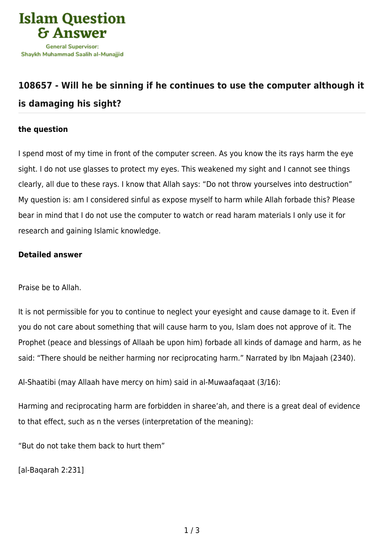

## **[108657 - Will he be sinning if he continues to use the computer although it](https://islamqa.com/en/answers/108657/will-he-be-sinning-if-he-continues-to-use-the-computer-although-it-is-damaging-his-sight) [is damaging his sight?](https://islamqa.com/en/answers/108657/will-he-be-sinning-if-he-continues-to-use-the-computer-although-it-is-damaging-his-sight)**

## **the question**

I spend most of my time in front of the computer screen. As you know the its rays harm the eye sight. I do not use glasses to protect my eyes. This weakened my sight and I cannot see things clearly, all due to these rays. I know that Allah says: "Do not throw yourselves into destruction" My question is: am I considered sinful as expose myself to harm while Allah forbade this? Please bear in mind that I do not use the computer to watch or read haram materials I only use it for research and gaining Islamic knowledge.

## **Detailed answer**

Praise be to Allah.

It is not permissible for you to continue to neglect your eyesight and cause damage to it. Even if you do not care about something that will cause harm to you, Islam does not approve of it. The Prophet (peace and blessings of Allaah be upon him) forbade all kinds of damage and harm, as he said: "There should be neither harming nor reciprocating harm." Narrated by Ibn Majaah (2340).

Al-Shaatibi (may Allaah have mercy on him) said in al-Muwaafaqaat (3/16):

Harming and reciprocating harm are forbidden in sharee'ah, and there is a great deal of evidence to that effect, such as n the verses (interpretation of the meaning):

"But do not take them back to hurt them"

[al-Baqarah 2:231]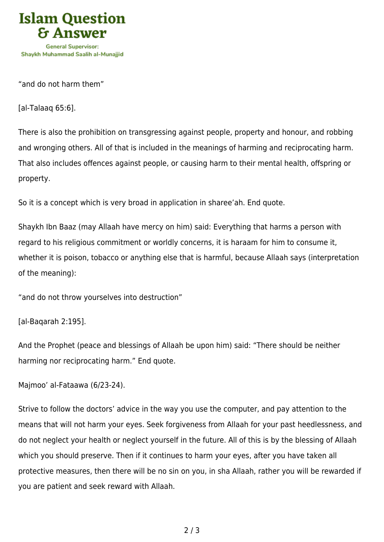

"and do not harm them"

[al-Talaaq 65:6].

There is also the prohibition on transgressing against people, property and honour, and robbing and wronging others. All of that is included in the meanings of harming and reciprocating harm. That also includes offences against people, or causing harm to their mental health, offspring or property.

So it is a concept which is very broad in application in sharee'ah. End quote.

Shaykh Ibn Baaz (may Allaah have mercy on him) said: Everything that harms a person with regard to his religious commitment or worldly concerns, it is haraam for him to consume it, whether it is poison, tobacco or anything else that is harmful, because Allaah says (interpretation of the meaning):

"and do not throw yourselves into destruction"

[al-Baqarah 2:195].

And the Prophet (peace and blessings of Allaah be upon him) said: "There should be neither harming nor reciprocating harm." End quote.

Majmoo' al-Fataawa (6/23-24).

Strive to follow the doctors' advice in the way you use the computer, and pay attention to the means that will not harm your eyes. Seek forgiveness from Allaah for your past heedlessness, and do not neglect your health or neglect yourself in the future. All of this is by the blessing of Allaah which you should preserve. Then if it continues to harm your eyes, after you have taken all protective measures, then there will be no sin on you, in sha Allaah, rather you will be rewarded if you are patient and seek reward with Allaah.